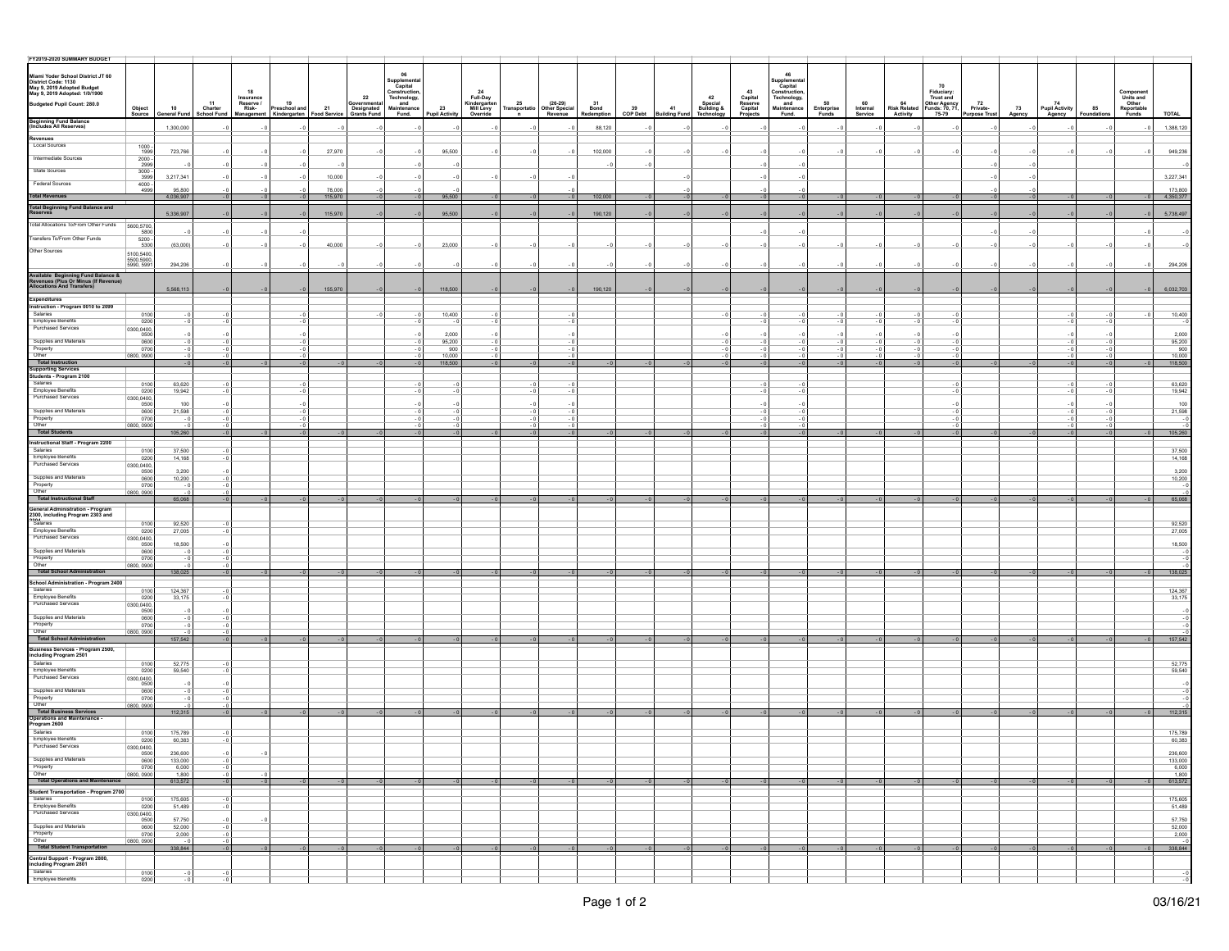| FY2019-2020 SUMMARY BUDGET                                                                                              |                                 |                           |                                                    |                     |                                 |                                           |                                                        |                      |                                                         |                                                        |                          |                  |                            |                       |                                           |                             |                           |                           |                    |                                         |                                 |              |                      |                  |                                                        |                      |
|-------------------------------------------------------------------------------------------------------------------------|---------------------------------|---------------------------|----------------------------------------------------|---------------------|---------------------------------|-------------------------------------------|--------------------------------------------------------|----------------------|---------------------------------------------------------|--------------------------------------------------------|--------------------------|------------------|----------------------------|-----------------------|-------------------------------------------|-----------------------------|---------------------------|---------------------------|--------------------|-----------------------------------------|---------------------------------|--------------|----------------------|------------------|--------------------------------------------------------|----------------------|
|                                                                                                                         |                                 |                           |                                                    |                     |                                 |                                           | 06                                                     |                      |                                                         |                                                        |                          |                  |                            |                       |                                           | 46                          |                           |                           |                    |                                         |                                 |              |                      |                  |                                                        |                      |
| Miami Yoder School District JT 60<br>District Code: 1130<br>May 9, 2019 Adopted Budget<br>May 9, 2019 Adopted: 1/0/1900 |                                 |                           |                                                    |                     |                                 |                                           | upplementa<br>Capital                                  |                      |                                                         |                                                        |                          |                  |                            |                       |                                           | Supplemental<br>Capital     |                           |                           |                    | 70                                      |                                 |              |                      |                  |                                                        |                      |
|                                                                                                                         |                                 |                           | 18                                                 |                     |                                 | 22                                        |                                                        |                      |                                                         |                                                        |                          |                  |                            | 42                    | 43                                        | Construction,               |                           |                           |                    | Fiduciary:<br>Trust and                 |                                 |              |                      |                  |                                                        |                      |
| Budgeted Pupil Count: 280.0                                                                                             |                                 |                           | Insurance<br>Reserve /<br>Risk-<br>$11$<br>Charter | 19<br>Preschool and |                                 |                                           | Capital<br>Construction,<br>Technology,<br>Maintenance |                      | 24<br>Full-Day<br>Kindergarter<br>Mill Levy<br>Override |                                                        |                          |                  |                            | Special<br>Building & | Capital<br>Reserve<br>Capital<br>Projects | Technology,                 |                           |                           | 64<br>Risk Related |                                         |                                 |              | 74<br>Pupil Activity |                  | Component<br>Units and<br>Other<br>Reportable<br>Funds |                      |
|                                                                                                                         | Object<br>Source                | 10<br><b>Seneral Fund</b> | <b>School Fund</b><br>Management                   |                     | 21<br>Kindergarten Food Service | Governmental<br>Designated<br>Grants Fund | Fund.                                                  | 23<br>Pupil Activity |                                                         | 25 (26-29)<br>Transportatio Other Special<br>n Revenue | 31<br>Bond<br>Redemption | $39$<br>COP Debt | 41<br><b>Building Fund</b> | Techno<br>logy        |                                           | and<br>Maintenance<br>Fund. | 50<br>Enterprise<br>Funds | 60<br>Internal<br>Service | Activity           | Other Agency<br>Funds: 70, 71,<br>75-79 | 72<br>Private-<br>Purpose Trust | 73<br>Agency | Agency               | 85<br>Foundation |                                                        | TOTAL                |
| <b>Beginning Fund Balance</b><br>(Includes All Reserves)                                                                |                                 | 1,300,000                 |                                                    |                     |                                 |                                           |                                                        |                      |                                                         |                                                        | 88,120                   |                  |                            |                       |                                           |                             |                           |                           |                    |                                         |                                 |              |                      |                  |                                                        | 1,388,120            |
| Revenues                                                                                                                |                                 |                           |                                                    |                     |                                 |                                           |                                                        |                      |                                                         |                                                        |                          |                  |                            |                       |                                           |                             |                           |                           |                    |                                         |                                 |              |                      |                  |                                                        |                      |
| Local Sources                                                                                                           | $1000 -$                        |                           |                                                    |                     |                                 |                                           |                                                        |                      |                                                         |                                                        |                          |                  |                            |                       |                                           |                             |                           |                           |                    |                                         |                                 |              |                      |                  |                                                        |                      |
| Intermediate Sources                                                                                                    | 1999                            | 723,766                   |                                                    |                     | 27,970                          |                                           |                                                        | 95,500               |                                                         |                                                        | 102,000                  |                  |                            |                       |                                           |                             |                           |                           |                    |                                         |                                 |              |                      |                  |                                                        | 949,236              |
| State Sources                                                                                                           | $\frac{2000}{2999}$<br>$3000 -$ | $-0$                      |                                                    |                     | - 0                             |                                           |                                                        |                      |                                                         |                                                        |                          |                  |                            |                       |                                           |                             |                           |                           |                    |                                         |                                 |              |                      |                  |                                                        |                      |
|                                                                                                                         | 3999                            | 3,217,341                 |                                                    |                     | 10,000                          |                                           |                                                        |                      |                                                         |                                                        |                          |                  |                            |                       |                                           |                             |                           |                           |                    |                                         |                                 |              |                      |                  |                                                        | 3,227,341            |
| <b>Federal Sources</b>                                                                                                  | $\frac{4000}{4999}$             | 95,800                    |                                                    |                     | 78,000                          |                                           |                                                        |                      |                                                         |                                                        |                          |                  |                            |                       |                                           |                             |                           |                           |                    |                                         |                                 |              |                      |                  |                                                        | 173,800              |
| <b>Total Revenues</b>                                                                                                   |                                 | 4,036,907                 |                                                    | $-0$                | 115,970                         |                                           |                                                        | 95,500               |                                                         |                                                        | 102,000                  |                  |                            |                       |                                           |                             |                           |                           |                    |                                         |                                 |              |                      |                  |                                                        | 4,350,377            |
| Total Beginning Fund Balance and<br>Reserves                                                                            |                                 |                           |                                                    |                     |                                 |                                           |                                                        | 95,500               |                                                         |                                                        |                          |                  |                            |                       |                                           |                             |                           |                           |                    |                                         |                                 |              |                      |                  |                                                        |                      |
|                                                                                                                         |                                 | 5,336,907                 |                                                    |                     | 115,970                         |                                           |                                                        |                      |                                                         |                                                        | 190,120                  |                  |                            |                       |                                           |                             |                           |                           |                    |                                         |                                 |              |                      |                  |                                                        | 5,738,497            |
| Total Allocations To/From Other Funds 5600,5700                                                                         | 5800                            |                           |                                                    |                     |                                 |                                           |                                                        |                      |                                                         |                                                        |                          |                  |                            |                       |                                           |                             |                           |                           |                    |                                         |                                 |              |                      |                  |                                                        |                      |
| Transfers To/From Other Funds                                                                                           | $5200 -$<br>5300                |                           |                                                    |                     | 40,000                          |                                           |                                                        | 23,000               |                                                         |                                                        |                          |                  |                            |                       |                                           |                             |                           |                           |                    |                                         |                                 |              |                      |                  |                                                        |                      |
| Other Sources                                                                                                           |                                 | (63,000)                  |                                                    |                     |                                 |                                           |                                                        |                      |                                                         |                                                        |                          |                  |                            |                       |                                           |                             |                           |                           |                    |                                         |                                 |              |                      |                  |                                                        |                      |
|                                                                                                                         | 5100,5400,<br>5990, 5991        | 294,206                   |                                                    |                     |                                 |                                           |                                                        |                      |                                                         |                                                        |                          |                  |                            |                       |                                           |                             |                           |                           |                    |                                         |                                 |              |                      |                  |                                                        | 294,206              |
|                                                                                                                         |                                 |                           |                                                    |                     |                                 |                                           |                                                        |                      |                                                         |                                                        |                          |                  |                            |                       |                                           |                             |                           |                           |                    |                                         |                                 |              |                      |                  |                                                        |                      |
| Available Beginning Fund Balance &<br>Revenues (Plus Or Minus (If Revenue)<br>Allocations And Transfers)                |                                 |                           |                                                    |                     |                                 |                                           |                                                        |                      |                                                         |                                                        |                          |                  |                            |                       |                                           |                             |                           |                           |                    |                                         |                                 |              |                      |                  |                                                        |                      |
|                                                                                                                         |                                 | 5,568,113                 |                                                    |                     | 155,970                         |                                           |                                                        | 118,500              |                                                         |                                                        | 190,120                  |                  |                            |                       |                                           |                             |                           |                           |                    |                                         |                                 |              |                      |                  |                                                        | 6,032,703            |
| Expenditures<br>Instruction - Program 0010 to 2099                                                                      |                                 |                           |                                                    |                     |                                 |                                           |                                                        |                      |                                                         |                                                        |                          |                  |                            |                       |                                           |                             |                           |                           |                    |                                         |                                 |              |                      |                  |                                                        |                      |
| Salaries                                                                                                                | 0100                            |                           |                                                    |                     |                                 |                                           |                                                        | 10,400               |                                                         |                                                        |                          |                  |                            |                       |                                           |                             |                           |                           |                    |                                         |                                 |              |                      |                  |                                                        | 10,400               |
| Employee Benefits<br>Purchased Services                                                                                 | 0200                            |                           |                                                    |                     |                                 |                                           |                                                        |                      |                                                         |                                                        |                          |                  |                            |                       |                                           |                             |                           |                           |                    |                                         |                                 |              |                      |                  |                                                        |                      |
|                                                                                                                         | 0300,0400,<br>0500              |                           |                                                    |                     |                                 |                                           |                                                        | 2.000                |                                                         |                                                        |                          |                  |                            |                       |                                           |                             |                           |                           |                    |                                         |                                 |              |                      |                  |                                                        | 2,000                |
| Supplies and Materials<br>Property                                                                                      | 0600<br>0700                    |                           |                                                    |                     |                                 |                                           |                                                        | 95,200<br>900        |                                                         |                                                        |                          |                  |                            |                       |                                           |                             |                           |                           |                    |                                         |                                 |              |                      |                  |                                                        | $\frac{95,200}{900}$ |
| Other                                                                                                                   | 0800, 0900                      |                           |                                                    |                     |                                 |                                           |                                                        | 10,000               |                                                         |                                                        |                          |                  |                            |                       |                                           |                             |                           |                           |                    |                                         |                                 |              |                      |                  |                                                        |                      |
| Total Instruction                                                                                                       |                                 |                           |                                                    | $-0$                |                                 |                                           |                                                        | 118,500              |                                                         |                                                        |                          |                  |                            |                       |                                           |                             |                           |                           |                    |                                         |                                 |              |                      |                  |                                                        | 118,500              |
| Supporting Services<br>Students - Program 2100                                                                          |                                 |                           |                                                    |                     |                                 |                                           |                                                        |                      |                                                         |                                                        |                          |                  |                            |                       |                                           |                             |                           |                           |                    |                                         |                                 |              |                      |                  |                                                        |                      |
| Salaries<br><b>Employee Benefits</b>                                                                                    | 0100<br>0200                    | 63.620                    |                                                    |                     |                                 |                                           |                                                        |                      |                                                         |                                                        |                          |                  |                            |                       |                                           |                             |                           |                           |                    |                                         |                                 |              |                      |                  |                                                        | 63,620               |
| Purchased Services                                                                                                      | 0300,0400                       | 19,942                    |                                                    |                     |                                 |                                           |                                                        |                      |                                                         |                                                        |                          |                  |                            |                       |                                           |                             |                           |                           |                    |                                         |                                 |              |                      |                  |                                                        | 19,942               |
| Supplies and Materials                                                                                                  | 0500                            | 100                       |                                                    |                     |                                 |                                           |                                                        |                      |                                                         |                                                        |                          |                  |                            |                       |                                           |                             |                           |                           |                    |                                         |                                 |              |                      |                  |                                                        | 100                  |
| Property                                                                                                                | 0600<br>0700                    | 21,598                    |                                                    |                     |                                 |                                           |                                                        |                      |                                                         |                                                        |                          |                  |                            |                       |                                           |                             |                           |                           |                    |                                         |                                 |              |                      |                  |                                                        | 21,598               |
| Other                                                                                                                   | 0800, 0900                      |                           |                                                    |                     |                                 |                                           |                                                        |                      |                                                         |                                                        |                          |                  |                            |                       |                                           |                             |                           |                           |                    |                                         |                                 |              |                      |                  |                                                        | $-0$                 |
| Total Students                                                                                                          |                                 | 105,260                   |                                                    |                     |                                 |                                           |                                                        |                      |                                                         |                                                        |                          |                  |                            |                       |                                           |                             |                           |                           |                    |                                         |                                 |              |                      |                  |                                                        | 105,260              |
| Instructional Staff - Program 2200<br>Salaries                                                                          | 0100                            | 37,500                    |                                                    |                     |                                 |                                           |                                                        |                      |                                                         |                                                        |                          |                  |                            |                       |                                           |                             |                           |                           |                    |                                         |                                 |              |                      |                  |                                                        | 37,500               |
| Employee Benefits                                                                                                       | 0200                            | 14,168                    |                                                    |                     |                                 |                                           |                                                        |                      |                                                         |                                                        |                          |                  |                            |                       |                                           |                             |                           |                           |                    |                                         |                                 |              |                      |                  |                                                        | 14,168               |
| Purchased Services                                                                                                      | 0300,0400,<br>0500              | 3.200                     |                                                    |                     |                                 |                                           |                                                        |                      |                                                         |                                                        |                          |                  |                            |                       |                                           |                             |                           |                           |                    |                                         |                                 |              |                      |                  |                                                        | 3,200                |
| Supplies and Materials                                                                                                  | 0600                            | 10,200                    |                                                    |                     |                                 |                                           |                                                        |                      |                                                         |                                                        |                          |                  |                            |                       |                                           |                             |                           |                           |                    |                                         |                                 |              |                      |                  |                                                        | 10,200               |
| Property<br>Other                                                                                                       | 0700<br>0800, 0900              |                           |                                                    |                     |                                 |                                           |                                                        |                      |                                                         |                                                        |                          |                  |                            |                       |                                           |                             |                           |                           |                    |                                         |                                 |              |                      |                  |                                                        |                      |
| Total Instructional Staff                                                                                               |                                 | 65,068                    |                                                    |                     |                                 |                                           |                                                        |                      |                                                         |                                                        |                          |                  |                            |                       |                                           |                             |                           |                           |                    |                                         |                                 |              |                      |                  |                                                        | 65,068               |
| General Administration - Program<br>2300, including Program 2303 and<br>^Salaries                                       |                                 |                           |                                                    |                     |                                 |                                           |                                                        |                      |                                                         |                                                        |                          |                  |                            |                       |                                           |                             |                           |                           |                    |                                         |                                 |              |                      |                  |                                                        |                      |
|                                                                                                                         |                                 |                           |                                                    |                     |                                 |                                           |                                                        |                      |                                                         |                                                        |                          |                  |                            |                       |                                           |                             |                           |                           |                    |                                         |                                 |              |                      |                  |                                                        |                      |
| <b>Employee Benefits</b>                                                                                                | 0100<br>0200                    | 92,520<br>27,005          |                                                    |                     |                                 |                                           |                                                        |                      |                                                         |                                                        |                          |                  |                            |                       |                                           |                             |                           |                           |                    |                                         |                                 |              |                      |                  |                                                        | 92,520<br>27,005     |
| Purchased Services                                                                                                      | 0300,0400,                      | 18,500                    |                                                    |                     |                                 |                                           |                                                        |                      |                                                         |                                                        |                          |                  |                            |                       |                                           |                             |                           |                           |                    |                                         |                                 |              |                      |                  |                                                        | 18,500               |
| Supplies and Materials                                                                                                  | 0600                            | - 0                       |                                                    |                     |                                 |                                           |                                                        |                      |                                                         |                                                        |                          |                  |                            |                       |                                           |                             |                           |                           |                    |                                         |                                 |              |                      |                  |                                                        |                      |
| Property<br>Other                                                                                                       | 0700<br>0800, 0900              |                           |                                                    |                     |                                 |                                           |                                                        |                      |                                                         |                                                        |                          |                  |                            |                       |                                           |                             |                           |                           |                    |                                         |                                 |              |                      |                  |                                                        | $-0.1$               |
| Total School Administration                                                                                             |                                 | 138,025                   |                                                    |                     |                                 |                                           |                                                        |                      |                                                         |                                                        |                          |                  |                            |                       |                                           |                             |                           |                           |                    |                                         |                                 |              |                      |                  |                                                        | 138,025              |
| School Administration - Program 2400                                                                                    |                                 |                           |                                                    |                     |                                 |                                           |                                                        |                      |                                                         |                                                        |                          |                  |                            |                       |                                           |                             |                           |                           |                    |                                         |                                 |              |                      |                  |                                                        |                      |
| Salaries<br>Employee Benefits                                                                                           | 0100<br>0200                    | 124,367                   |                                                    |                     |                                 |                                           |                                                        |                      |                                                         |                                                        |                          |                  |                            |                       |                                           |                             |                           |                           |                    |                                         |                                 |              |                      |                  |                                                        | 124,367<br>33,175    |
| Purchased Services                                                                                                      | 0300.0400                       | 33,175                    |                                                    |                     |                                 |                                           |                                                        |                      |                                                         |                                                        |                          |                  |                            |                       |                                           |                             |                           |                           |                    |                                         |                                 |              |                      |                  |                                                        |                      |
| Supplies and Materials                                                                                                  | 0500<br>0600                    | - 0                       |                                                    |                     |                                 |                                           |                                                        |                      |                                                         |                                                        |                          |                  |                            |                       |                                           |                             |                           |                           |                    |                                         |                                 |              |                      |                  |                                                        |                      |
| Property                                                                                                                | 0700                            |                           |                                                    |                     |                                 |                                           |                                                        |                      |                                                         |                                                        |                          |                  |                            |                       |                                           |                             |                           |                           |                    |                                         |                                 |              |                      |                  |                                                        |                      |
| Other<br>Total School Administration                                                                                    | 0800, 0900                      | 157,542                   |                                                    |                     |                                 |                                           |                                                        |                      |                                                         |                                                        |                          |                  |                            |                       |                                           |                             |                           |                           |                    |                                         |                                 |              |                      |                  |                                                        | 157,542              |
|                                                                                                                         |                                 |                           |                                                    |                     |                                 |                                           |                                                        |                      |                                                         |                                                        |                          |                  |                            |                       |                                           |                             |                           |                           |                    |                                         |                                 |              |                      |                  |                                                        |                      |
| Business Services - Program 2500,<br>including Program 2501                                                             |                                 |                           |                                                    |                     |                                 |                                           |                                                        |                      |                                                         |                                                        |                          |                  |                            |                       |                                           |                             |                           |                           |                    |                                         |                                 |              |                      |                  |                                                        |                      |
| Salaries<br>Employee Benefits                                                                                           | 0100                            | 52,775                    |                                                    |                     |                                 |                                           |                                                        |                      |                                                         |                                                        |                          |                  |                            |                       |                                           |                             |                           |                           |                    |                                         |                                 |              |                      |                  |                                                        | 52,775               |
| Purchased Services                                                                                                      | 0200<br>0300,0400,              | 59,540                    |                                                    |                     |                                 |                                           |                                                        |                      |                                                         |                                                        |                          |                  |                            |                       |                                           |                             |                           |                           |                    |                                         |                                 |              |                      |                  |                                                        | 59,540               |
| Supplies and Materials                                                                                                  | 0600                            |                           |                                                    |                     |                                 |                                           |                                                        |                      |                                                         |                                                        |                          |                  |                            |                       |                                           |                             |                           |                           |                    |                                         |                                 |              |                      |                  |                                                        |                      |
| Property                                                                                                                | 0700                            | $-0$                      |                                                    |                     |                                 |                                           |                                                        |                      |                                                         |                                                        |                          |                  |                            |                       |                                           |                             |                           |                           |                    |                                         |                                 |              |                      |                  |                                                        |                      |
| Other                                                                                                                   | 0800, 0900                      |                           |                                                    |                     |                                 |                                           |                                                        |                      |                                                         |                                                        |                          |                  |                            |                       |                                           |                             |                           |                           |                    |                                         |                                 |              |                      |                  |                                                        |                      |
| Total Business Services<br>Operations and Maintenance -                                                                 |                                 | 112,315                   |                                                    |                     |                                 |                                           |                                                        |                      |                                                         |                                                        |                          |                  |                            |                       |                                           |                             |                           |                           |                    |                                         |                                 |              |                      |                  | $-0$                                                   | 112,315              |
| Program 2600<br>Salaries                                                                                                | 0100                            | 175,789                   |                                                    |                     |                                 |                                           |                                                        |                      |                                                         |                                                        |                          |                  |                            |                       |                                           |                             |                           |                           |                    |                                         |                                 |              |                      |                  |                                                        | 175,789              |
| Employee Benefits                                                                                                       | 0200                            | 60,383                    |                                                    |                     |                                 |                                           |                                                        |                      |                                                         |                                                        |                          |                  |                            |                       |                                           |                             |                           |                           |                    |                                         |                                 |              |                      |                  |                                                        | 60,383               |
| Purchased Services                                                                                                      | 0300.0400                       |                           |                                                    |                     |                                 |                                           |                                                        |                      |                                                         |                                                        |                          |                  |                            |                       |                                           |                             |                           |                           |                    |                                         |                                 |              |                      |                  |                                                        |                      |
| Supplies and Materials                                                                                                  | <b>UPDD</b><br>0600             | 236,600<br>133,000        |                                                    |                     |                                 |                                           |                                                        |                      |                                                         |                                                        |                          |                  |                            |                       |                                           |                             |                           |                           |                    |                                         |                                 |              |                      |                  |                                                        | 236,600<br>133,000   |
| Property<br>Other                                                                                                       | 0700                            | 6,000                     |                                                    |                     |                                 |                                           |                                                        |                      |                                                         |                                                        |                          |                  |                            |                       |                                           |                             |                           |                           |                    |                                         |                                 |              |                      |                  |                                                        | 6,000                |
| Total Operations and Maintenance                                                                                        | 0800, 0900                      | 1,800<br>613,572          | $-0$                                               | $-0$                | $-0$                            | $-0$                                      | $-0$                                                   | $-01$                | $-0$                                                    |                                                        | $-0$                     | $-0$             | $-0$                       |                       | $-0$                                      |                             | $-0$                      |                           |                    |                                         | $-0$                            | $-0$         | $-0$                 |                  | $-0$                                                   | 1,800<br>613,572     |
| Student Transportation - Program 2700                                                                                   |                                 |                           |                                                    |                     |                                 |                                           |                                                        |                      |                                                         |                                                        |                          |                  |                            |                       |                                           |                             |                           |                           |                    |                                         |                                 |              |                      |                  |                                                        |                      |
| Salaries                                                                                                                | 0100                            | 175,605                   |                                                    |                     |                                 |                                           |                                                        |                      |                                                         |                                                        |                          |                  |                            |                       |                                           |                             |                           |                           |                    |                                         |                                 |              |                      |                  |                                                        | 175,605              |
| Employee Benefits<br>Purchased Services                                                                                 | 0200<br>0300,0400,              | 51,489                    |                                                    |                     |                                 |                                           |                                                        |                      |                                                         |                                                        |                          |                  |                            |                       |                                           |                             |                           |                           |                    |                                         |                                 |              |                      |                  |                                                        | 51,489               |
|                                                                                                                         | 0500                            | 57,750                    |                                                    |                     |                                 |                                           |                                                        |                      |                                                         |                                                        |                          |                  |                            |                       |                                           |                             |                           |                           |                    |                                         |                                 |              |                      |                  |                                                        | 57,750               |
| Supplies and Materials<br>Property                                                                                      | 0600<br>0700                    | 52,000                    | $-0$                                               |                     |                                 |                                           |                                                        |                      |                                                         |                                                        |                          |                  |                            |                       |                                           |                             |                           |                           |                    |                                         |                                 |              |                      |                  |                                                        | 52,000               |
| Other                                                                                                                   | 0800, 0900                      | 2,000<br>$-0$             | $-0$                                               |                     |                                 |                                           |                                                        |                      |                                                         |                                                        |                          |                  |                            |                       |                                           |                             |                           |                           |                    |                                         |                                 |              |                      |                  |                                                        | 2,000<br>$-0$        |
| Total Student Transportation                                                                                            |                                 | 338,844                   |                                                    |                     |                                 |                                           |                                                        |                      |                                                         |                                                        |                          |                  | $-0$                       |                       |                                           |                             | $-0$                      |                           |                    |                                         |                                 |              |                      |                  |                                                        | 338,844              |
| Central Support - Program 2800,<br>including Program 2801                                                               |                                 |                           |                                                    |                     |                                 |                                           |                                                        |                      |                                                         |                                                        |                          |                  |                            |                       |                                           |                             |                           |                           |                    |                                         |                                 |              |                      |                  |                                                        |                      |
| Salaries                                                                                                                |                                 | $-0$                      | $-0$                                               |                     |                                 |                                           |                                                        |                      |                                                         |                                                        |                          |                  |                            |                       |                                           |                             |                           |                           |                    |                                         |                                 |              |                      |                  |                                                        | $-0$                 |
| Employee Benefits                                                                                                       | $\frac{0100}{0200}$             | $-0$                      |                                                    |                     |                                 |                                           |                                                        |                      |                                                         |                                                        |                          |                  |                            |                       |                                           |                             |                           |                           |                    |                                         |                                 |              |                      |                  |                                                        |                      |